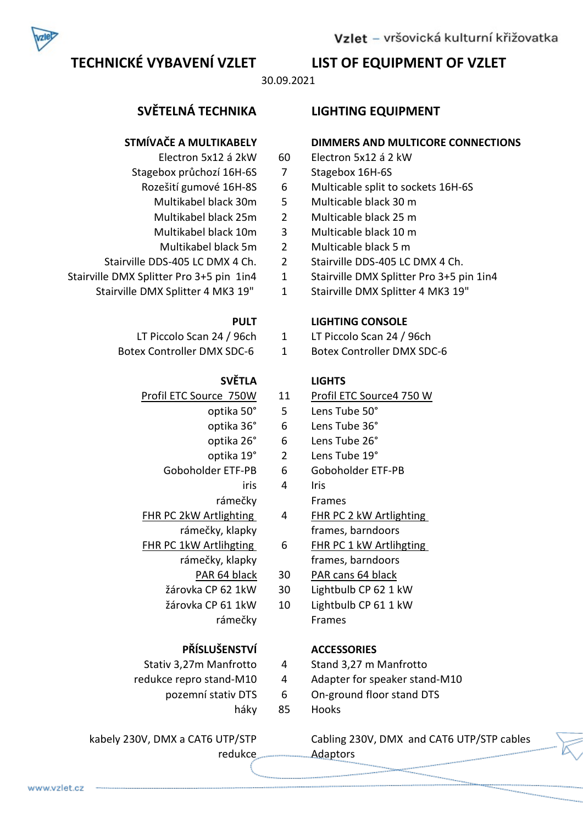# TECHNICKÉ VYBAVENÍ VZLET LIST OF EQUIPMENT OF VZLET

30.09.2021

- 
- Stagebox průchozí 16H-6S 7 Stagebox 16H-6S
- -
	-
	-
	-
- 
- -

- 
- 

# SVĚTLA LIGHTS

- -
	-
	- -
	- -
		- rámečky Frames
- rámečky, klapky frames, barndoors
- FHR PC 1kW Artlihgting 6 FHR PC 1 kW Artlihgting
	-
	- žárovka CP 62 1kW 30 Lightbulb CP 62 1 kW
	- rámečky Frames

# PŘÍSLUŠENSTVÍ ACCESSORIES

- 
- - -

# SVĚTELNÁ TECHNIKA LIGHTING EQUIPMENT

# STMÍVAČE A MULTIKABELY DIMMERS AND MULTICORE CONNECTIONS

- Electron 5x12 á 2kW 60 Electron 5x12 á 2 kW
	-
- Rozešití gumové 16H-8S 6 Multicable split to sockets 16H-6S
	- Multikabel black 30m 5 Multicable black 30 m
	- Multikabel black 25m 2 Multicable black 25 m
	- Multikabel black 10m 3 Multicable black 10 m
		- Multikabel black 5m 2 Multicable black 5 m
- Stairville DDS-405 LC DMX 4 Ch. 2 Stairville DDS-405 LC DMX 4 Ch.
- Stairville DMX Splitter Pro 3+5 pin 1in4 1 Stairville DMX Splitter Pro 3+5 pin 1in4
	- Stairville DMX Splitter 4 MK3 19" 1 Stairville DMX Splitter 4 MK3 19"

# PULT LIGHTING CONSOLE

- LT Piccolo Scan 24 / 96ch 1 LT Piccolo Scan 24 / 96ch
- Botex Controller DMX SDC-6 1 Botex Controller DMX SDC-6

- Profil ETC Source 750W 11 Profil ETC Source4 750 W
	- optika 50° 5 Lens Tube 50°
	- optika 36° 6 Lens Tube 36°
	- optika 26° 6 Lens Tube 26°
	- optika 19° 2 Lens Tube 19°
	- Goboholder ETF-PB 6 Goboholder ETF-PB
		- iris 4 Iris
			-
- FHR PC 2kW Artlighting 4 FHR PC 2 kW Artlighting
	-
	- rámečky, klapky frames, barndoors
		- PAR 64 black 30 PAR cans 64 black
			-
	- žárovka CP 61 1kW 10 Lightbulb CP 61 1 kW

- Stativ 3,27m Manfrotto 4 Stand 3,27 m Manfrotto
- redukce repro stand-M10 4 Adapter for speaker stand-M10
	- pozemní stativ DTS 6 On-ground floor stand DTS
		- háky 85 Hooks

kabely 230V, DMX a CAT6 UTP/STP Cabling 230V, DMX and CAT6 UTP/STP cables redukce **Adaptors** 

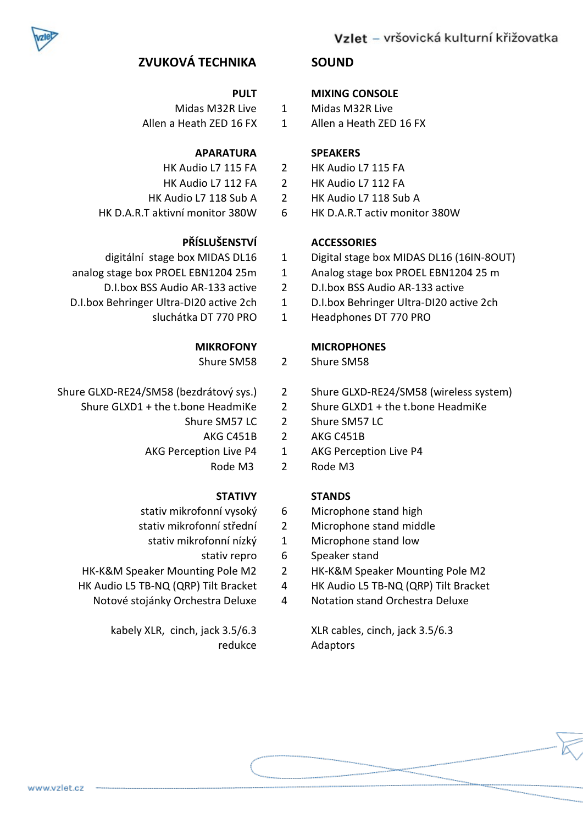

# Vzlet – vršovická kulturní křižovatka

# ZVUKOVÁ TECHNIKA SOUND

- 
- Allen a Heath ZED 16 FX 1 Allen a Heath ZED 16 FX

## APARATURA SPEAKERS

- 
- 
- 
- HK D.A.R.T aktivní monitor 380W 6 HK D.A.R.T activ monitor 380W

## PŘÍSLUŠENSTVÍ ACCESSORIES

- 
- analog stage box PROEL EBN1204 25m 1 Analog stage box PROEL EBN1204 25 m
	-
- -

- Shure SM58 2 Shure SM58
- - - -
		- -

# STATIVY STANDS

- 
- 
- -
- 
- -

kabely XLR, cinch, jack 3.5/6.3 XLR cables, cinch, jack 3.5/6.3

## PULT MIXING CONSOLE

- Midas M32R Live 1 Midas M32R Live
	-

- HK Audio L7 115 FA 2 HK Audio L7 115 FA
- HK Audio L7 112 FA 2 HK Audio L7 112 FA
- HK Audio L7 118 Sub A 2 HK Audio L7 118 Sub A
	-

- digitální stage box MIDAS DL16 1 Digital stage box MIDAS DL16 (16IN-8OUT)
	-
- D.I.box BSS Audio AR-133 active 2 D.I.box BSS Audio AR-133 active
- D.I.box Behringer Ultra-DI20 active 2ch 1 D.I.box Behringer Ultra-DI20 active 2ch
	- sluchátka DT 770 PRO 1 Headphones DT 770 PRO

## MIKROFONY MICROPHONES

- 
- Shure GLXD-RE24/SM58 (bezdrátový sys.) 2 Shure GLXD-RE24/SM58 (wireless system)
	- Shure GLXD1 + the t.bone HeadmiKe 2 Shure GLXD1 + the t.bone HeadmiKe
		- Shure SM57 LC 2 Shure SM57 LC
			- AKG C451B 2 AKG C451B
		- AKG Perception Live P4 1 AKG Perception Live P4
			- Rode M3 2 Rode M3

- stativ mikrofonní vysoký 6 Microphone stand high
- stativ mikrofonní střední 2 Microphone stand middle
	- stativ mikrofonní nízký 1 Microphone stand low
		- stativ repro 6 Speaker stand
- HK-K&M Speaker Mounting Pole M2 2 HK-K&M Speaker Mounting Pole M2
- HK Audio L5 TB-NQ (QRP) Tilt Bracket 4 HK Audio L5 TB-NQ (QRP) Tilt Bracket
	- Notové stojánky Orchestra Deluxe 4 Notation stand Orchestra Deluxe

redukce Adaptors